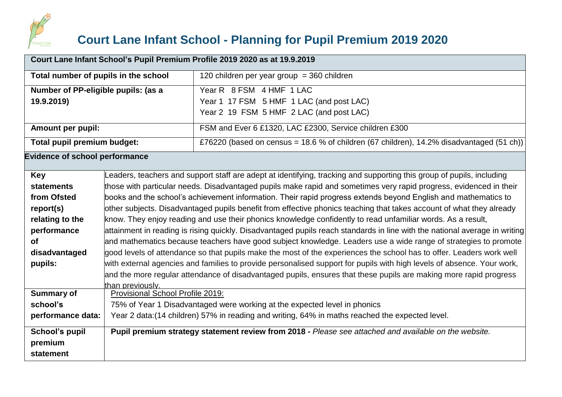

## **Court Lane Infant School - Planning for Pupil Premium 2019 2020**

| Court Lane Infant School's Pupil Premium Profile 2019 2020 as at 19.9.2019 |                                                                                                                |                                                                                                                            |  |  |
|----------------------------------------------------------------------------|----------------------------------------------------------------------------------------------------------------|----------------------------------------------------------------------------------------------------------------------------|--|--|
| Total number of pupils in the school                                       |                                                                                                                | 120 children per year group = 360 children                                                                                 |  |  |
| Number of PP-eligible pupils: (as a                                        |                                                                                                                | Year R 8 FSM 4 HMF 1 LAC                                                                                                   |  |  |
| 19.9.2019)                                                                 |                                                                                                                | Year 1 17 FSM 5 HMF 1 LAC (and post LAC)                                                                                   |  |  |
|                                                                            |                                                                                                                | Year 2 19 FSM 5 HMF 2 LAC (and post LAC)                                                                                   |  |  |
| Amount per pupil:                                                          |                                                                                                                | FSM and Ever 6 £1320, LAC £2300, Service children £300                                                                     |  |  |
| Total pupil premium budget:                                                |                                                                                                                | £76220 (based on census = 18.6 % of children (67 children), 14.2% disadvantaged (51 ch))                                   |  |  |
| <b>Evidence of school performance</b>                                      |                                                                                                                |                                                                                                                            |  |  |
| <b>Key</b>                                                                 |                                                                                                                | Leaders, teachers and support staff are adept at identifying, tracking and supporting this group of pupils, including      |  |  |
| <b>statements</b>                                                          |                                                                                                                | those with particular needs. Disadvantaged pupils make rapid and sometimes very rapid progress, evidenced in their         |  |  |
| from Ofsted                                                                | books and the school's achievement information. Their rapid progress extends beyond English and mathematics to |                                                                                                                            |  |  |
| report(s)                                                                  |                                                                                                                | other subjects. Disadvantaged pupils benefit from effective phonics teaching that takes account of what they already       |  |  |
| relating to the                                                            |                                                                                                                | know. They enjoy reading and use their phonics knowledge confidently to read unfamiliar words. As a result,                |  |  |
| performance                                                                |                                                                                                                | attainment in reading is rising quickly. Disadvantaged pupils reach standards in line with the national average in writing |  |  |
| <b>of</b>                                                                  |                                                                                                                | and mathematics because teachers have good subject knowledge. Leaders use a wide range of strategies to promote            |  |  |
| disadvantaged                                                              |                                                                                                                | good levels of attendance so that pupils make the most of the experiences the school has to offer. Leaders work well       |  |  |
| pupils:                                                                    |                                                                                                                | with external agencies and families to provide personalised support for pupils with high levels of absence. Your work,     |  |  |
|                                                                            |                                                                                                                | and the more regular attendance of disadvantaged pupils, ensures that these pupils are making more rapid progress          |  |  |
| <b>Summary of</b>                                                          | than previously.                                                                                               |                                                                                                                            |  |  |
| school's                                                                   | Provisional School Profile 2019:<br>75% of Year 1 Disadvantaged were working at the expected level in phonics  |                                                                                                                            |  |  |
| performance data:                                                          | Year 2 data: (14 children) 57% in reading and writing, 64% in maths reached the expected level.                |                                                                                                                            |  |  |
|                                                                            |                                                                                                                |                                                                                                                            |  |  |
| School's pupil                                                             |                                                                                                                | Pupil premium strategy statement review from 2018 - Please see attached and available on the website.                      |  |  |
| premium                                                                    |                                                                                                                |                                                                                                                            |  |  |
| statement                                                                  |                                                                                                                |                                                                                                                            |  |  |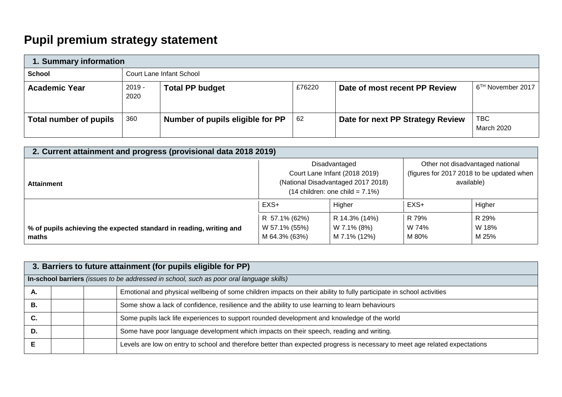## **Pupil premium strategy statement**

| 1. Summary information |                          |                                  |        |                                  |                               |  |
|------------------------|--------------------------|----------------------------------|--------|----------------------------------|-------------------------------|--|
| School                 | Court Lane Infant School |                                  |        |                                  |                               |  |
| <b>Academic Year</b>   | $2019 -$<br>2020         | <b>Total PP budget</b>           | £76220 | Date of most recent PP Review    | 6 <sup>TH</sup> November 2017 |  |
| Total number of pupils | 360                      | Number of pupils eligible for PP | -62    | Date for next PP Strategy Review | TBC<br>March 2020             |  |

| 2. Current attainment and progress (provisional data 2018 2019)              |                                                 |                                                                                                                                    |                                                                                             |                         |  |  |  |
|------------------------------------------------------------------------------|-------------------------------------------------|------------------------------------------------------------------------------------------------------------------------------------|---------------------------------------------------------------------------------------------|-------------------------|--|--|--|
| <b>Attainment</b>                                                            |                                                 | Disadvantaged<br>Court Lane Infant (2018 2019)<br>(National Disadvantaged 2017 2018)<br>$(14 \text{ children: one child} = 7.1\%)$ | Other not disadvantaged national<br>(figures for 2017 2018 to be updated when<br>available) |                         |  |  |  |
|                                                                              | $EXS+$<br>Higher                                |                                                                                                                                    | EXS+                                                                                        | Higher                  |  |  |  |
| % of pupils achieving the expected standard in reading, writing and<br>maths | R 57.1% (62%)<br>W 57.1% (55%)<br>M 64.3% (63%) | R 14.3% (14%)<br>W 7.1% (8%)<br>M 7.1% (12%)                                                                                       | R 79%<br>W 74%<br>M 80%                                                                     | R 29%<br>W 18%<br>M 25% |  |  |  |

|    | 3. Barriers to future attainment (for pupils eligible for PP)                            |  |                                                                                                                             |  |  |  |
|----|------------------------------------------------------------------------------------------|--|-----------------------------------------------------------------------------------------------------------------------------|--|--|--|
|    | In-school barriers (issues to be addressed in school, such as poor oral language skills) |  |                                                                                                                             |  |  |  |
| Α. |                                                                                          |  | Emotional and physical wellbeing of some children impacts on their ability to fully participate in school activities        |  |  |  |
| В. |                                                                                          |  | Some show a lack of confidence, resilience and the ability to use learning to learn behaviours                              |  |  |  |
| C. |                                                                                          |  | Some pupils lack life experiences to support rounded development and knowledge of the world                                 |  |  |  |
| D. |                                                                                          |  | Some have poor language development which impacts on their speech, reading and writing.                                     |  |  |  |
|    |                                                                                          |  | Levels are low on entry to school and therefore better than expected progress is necessary to meet age related expectations |  |  |  |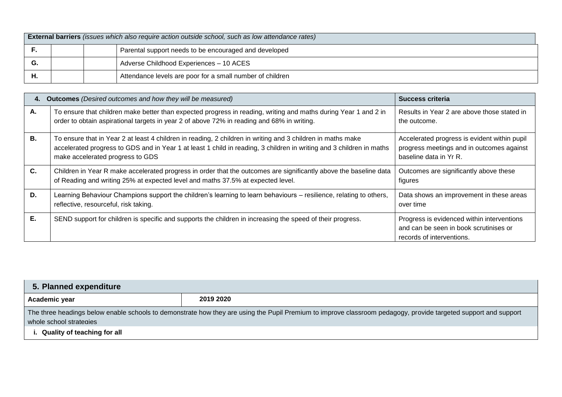|    | <b>External barriers</b> (issues which also require action outside school, such as low attendance rates) |  |                                                           |  |  |
|----|----------------------------------------------------------------------------------------------------------|--|-----------------------------------------------------------|--|--|
|    | Parental support needs to be encouraged and developed                                                    |  |                                                           |  |  |
| G. |                                                                                                          |  | Adverse Childhood Experiences - 10 ACES                   |  |  |
| Н. |                                                                                                          |  | Attendance levels are poor for a small number of children |  |  |

| 4. | <b>Outcomes</b> (Desired outcomes and how they will be measured)                                                                                                                                                                                                        | Success criteria                                                                                                    |
|----|-------------------------------------------------------------------------------------------------------------------------------------------------------------------------------------------------------------------------------------------------------------------------|---------------------------------------------------------------------------------------------------------------------|
| А. | To ensure that children make better than expected progress in reading, writing and maths during Year 1 and 2 in<br>order to obtain aspirational targets in year 2 of above 72% in reading and 68% in writing.                                                           | Results in Year 2 are above those stated in<br>the outcome.                                                         |
| В. | To ensure that in Year 2 at least 4 children in reading, 2 children in writing and 3 children in maths make<br>accelerated progress to GDS and in Year 1 at least 1 child in reading, 3 children in writing and 3 children in maths<br>make accelerated progress to GDS | Accelerated progress is evident within pupil<br>progress meetings and in outcomes against<br>baseline data in Yr R. |
| C. | Children in Year R make accelerated progress in order that the outcomes are significantly above the baseline data<br>of Reading and writing 25% at expected level and maths 37.5% at expected level.                                                                    | Outcomes are significantly above these<br>figures                                                                   |
| D. | Learning Behaviour Champions support the children's learning to learn behaviours – resilience, relating to others,<br>reflective, resourceful, risk taking.                                                                                                             | Data shows an improvement in these areas<br>over time                                                               |
| Е. | SEND support for children is specific and supports the children in increasing the speed of their progress.                                                                                                                                                              | Progress is evidenced within interventions<br>and can be seen in book scrutinises or<br>records of interventions.   |

| 5. Planned expenditure             |                                                                                                                                                                 |  |  |  |  |  |
|------------------------------------|-----------------------------------------------------------------------------------------------------------------------------------------------------------------|--|--|--|--|--|
| 2019 2020<br>Academic year         |                                                                                                                                                                 |  |  |  |  |  |
|                                    | The three headings below enable schools to demonstrate how they are using the Pupil Premium to improve classroom pedagogy, provide targeted support and support |  |  |  |  |  |
|                                    | whole school strategies                                                                                                                                         |  |  |  |  |  |
| <b>Quality of teaching for all</b> |                                                                                                                                                                 |  |  |  |  |  |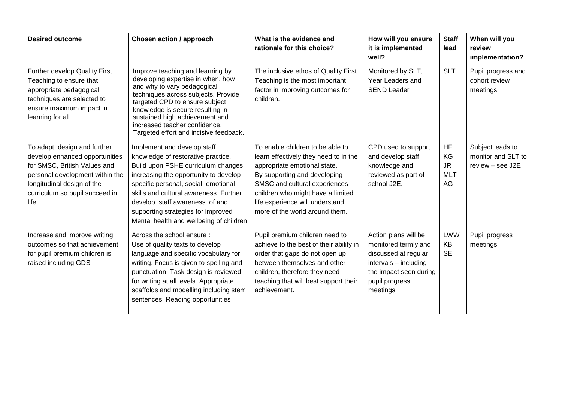| <b>Desired outcome</b>                                                                                                                                                                                     | Chosen action / approach                                                                                                                                                                                                                                                                                                                               | What is the evidence and<br>rationale for this choice?                                                                                                                                                                                                                               | How will you ensure<br>it is implemented<br>well?                                                                                                     | <b>Staff</b><br>lead                             | When will you<br>review<br>implementation?                 |
|------------------------------------------------------------------------------------------------------------------------------------------------------------------------------------------------------------|--------------------------------------------------------------------------------------------------------------------------------------------------------------------------------------------------------------------------------------------------------------------------------------------------------------------------------------------------------|--------------------------------------------------------------------------------------------------------------------------------------------------------------------------------------------------------------------------------------------------------------------------------------|-------------------------------------------------------------------------------------------------------------------------------------------------------|--------------------------------------------------|------------------------------------------------------------|
| Further develop Quality First<br>Teaching to ensure that<br>appropriate pedagogical<br>techniques are selected to<br>ensure maximum impact in<br>learning for all.                                         | Improve teaching and learning by<br>developing expertise in when, how<br>and why to vary pedagogical<br>techniques across subjects. Provide<br>targeted CPD to ensure subject<br>knowledge is secure resulting in<br>sustained high achievement and<br>increased teacher confidence.<br>Targeted effort and incisive feedback.                         | The inclusive ethos of Quality First<br>Teaching is the most important<br>factor in improving outcomes for<br>children.                                                                                                                                                              | Monitored by SLT,<br>Year Leaders and<br><b>SEND Leader</b>                                                                                           | <b>SLT</b>                                       | Pupil progress and<br>cohort review<br>meetings            |
| To adapt, design and further<br>develop enhanced opportunities<br>for SMSC, British Values and<br>personal development within the<br>longitudinal design of the<br>curriculum so pupil succeed in<br>life. | Implement and develop staff<br>knowledge of restorative practice.<br>Build upon PSHE curriculum changes,<br>increasing the opportunity to develop<br>specific personal, social, emotional<br>skills and cultural awareness. Further<br>develop staff awareness of and<br>supporting strategies for improved<br>Mental health and wellbeing of children | To enable children to be able to<br>learn effectively they need to in the<br>appropriate emotional state.<br>By supporting and developing<br>SMSC and cultural experiences<br>children who might have a limited<br>life experience will understand<br>more of the world around them. | CPD used to support<br>and develop staff<br>knowledge and<br>reviewed as part of<br>school J2E.                                                       | <b>HF</b><br>KG<br><b>JR</b><br><b>MLT</b><br>AG | Subject leads to<br>monitor and SLT to<br>review - see J2E |
| Increase and improve writing<br>outcomes so that achievement<br>for pupil premium children is<br>raised including GDS                                                                                      | Across the school ensure:<br>Use of quality texts to develop<br>language and specific vocabulary for<br>writing. Focus is given to spelling and<br>punctuation. Task design is reviewed<br>for writing at all levels. Appropriate<br>scaffolds and modelling including stem<br>sentences. Reading opportunities                                        | Pupil premium children need to<br>achieve to the best of their ability in<br>order that gaps do not open up<br>between themselves and other<br>children, therefore they need<br>teaching that will best support their<br>achievement.                                                | Action plans will be<br>monitored termly and<br>discussed at regular<br>intervals - including<br>the impact seen during<br>pupil progress<br>meetings | <b>LWW</b><br>KB<br><b>SE</b>                    | Pupil progress<br>meetings                                 |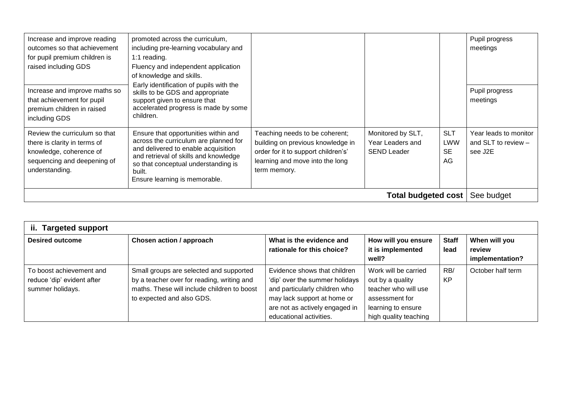| Increase and improve reading<br>outcomes so that achievement<br>for pupil premium children is<br>raised including GDS                     | promoted across the curriculum,<br>including pre-learning vocabulary and<br>1:1 reading.<br>Fluency and independent application<br>of knowledge and skills.                                                                                     |                                                                                                                                                               |                                                             |                                             | Pupil progress<br>meetings                                |
|-------------------------------------------------------------------------------------------------------------------------------------------|-------------------------------------------------------------------------------------------------------------------------------------------------------------------------------------------------------------------------------------------------|---------------------------------------------------------------------------------------------------------------------------------------------------------------|-------------------------------------------------------------|---------------------------------------------|-----------------------------------------------------------|
| Increase and improve maths so<br>that achievement for pupil<br>premium children in raised<br>including GDS                                | Early identification of pupils with the<br>skills to be GDS and appropriate<br>support given to ensure that<br>accelerated progress is made by some<br>children.                                                                                |                                                                                                                                                               |                                                             |                                             | Pupil progress<br>meetings                                |
| Review the curriculum so that<br>there is clarity in terms of<br>knowledge, coherence of<br>sequencing and deepening of<br>understanding. | Ensure that opportunities within and<br>across the curriculum are planned for<br>and delivered to enable acquisition<br>and retrieval of skills and knowledge<br>so that conceptual understanding is<br>built.<br>Ensure learning is memorable. | Teaching needs to be coherent;<br>building on previous knowledge in<br>order for it to support children's'<br>learning and move into the long<br>term memory. | Monitored by SLT,<br>Year Leaders and<br><b>SEND Leader</b> | <b>SLT</b><br><b>LWW</b><br><b>SE</b><br>AG | Year leads to monitor<br>and SLT to review $-$<br>see J2E |
| <b>Total budgeted cost</b>                                                                                                                |                                                                                                                                                                                                                                                 |                                                                                                                                                               |                                                             |                                             |                                                           |

| ii.<br><b>Targeted support</b>                                             |                                                                                                                                                                   |                                                                                                                                                                                             |                                                                                                                                   |                      |                                            |  |  |
|----------------------------------------------------------------------------|-------------------------------------------------------------------------------------------------------------------------------------------------------------------|---------------------------------------------------------------------------------------------------------------------------------------------------------------------------------------------|-----------------------------------------------------------------------------------------------------------------------------------|----------------------|--------------------------------------------|--|--|
| <b>Desired outcome</b>                                                     | Chosen action / approach                                                                                                                                          | What is the evidence and<br>rationale for this choice?                                                                                                                                      | How will you ensure<br>it is implemented<br>well?                                                                                 | <b>Staff</b><br>lead | When will you<br>review<br>implementation? |  |  |
| To boost achievement and<br>reduce 'dip' evident after<br>summer holidays. | Small groups are selected and supported<br>by a teacher over for reading, writing and<br>maths. These will include children to boost<br>to expected and also GDS. | Evidence shows that children<br>'dip' over the summer holidays<br>and particularly children who<br>may lack support at home or<br>are not as actively engaged in<br>educational activities. | Work will be carried<br>out by a quality<br>teacher who will use<br>assessment for<br>learning to ensure<br>high quality teaching | RB/<br><b>KP</b>     | October half term                          |  |  |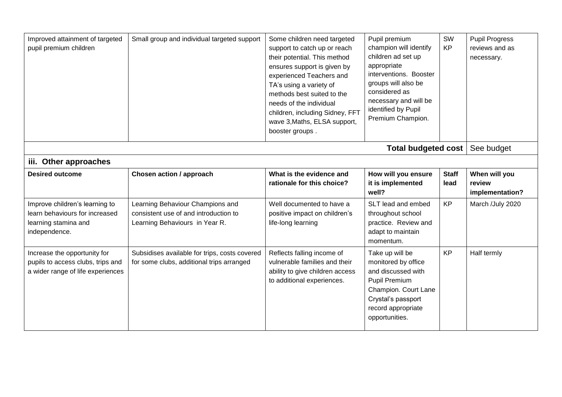| Improved attainment of targeted<br>pupil premium children                                                 | Small group and individual targeted support                                                                 | Some children need targeted<br>support to catch up or reach<br>their potential. This method<br>ensures support is given by<br>experienced Teachers and<br>TA's using a variety of<br>methods best suited to the<br>needs of the individual<br>children, including Sidney, FFT<br>wave 3, Maths, ELSA support,<br>booster groups. | Pupil premium<br>champion will identify<br>children ad set up<br>appropriate<br>interventions. Booster<br>groups will also be<br>considered as<br>necessary and will be<br>identified by Pupil<br>Premium Champion. | SW<br><b>KP</b>      | <b>Pupil Progress</b><br>reviews and as<br>necessary. |
|-----------------------------------------------------------------------------------------------------------|-------------------------------------------------------------------------------------------------------------|----------------------------------------------------------------------------------------------------------------------------------------------------------------------------------------------------------------------------------------------------------------------------------------------------------------------------------|---------------------------------------------------------------------------------------------------------------------------------------------------------------------------------------------------------------------|----------------------|-------------------------------------------------------|
|                                                                                                           |                                                                                                             |                                                                                                                                                                                                                                                                                                                                  | <b>Total budgeted cost</b>                                                                                                                                                                                          |                      | See budget                                            |
| iii. Other approaches                                                                                     |                                                                                                             |                                                                                                                                                                                                                                                                                                                                  |                                                                                                                                                                                                                     |                      |                                                       |
| <b>Desired outcome</b>                                                                                    | Chosen action / approach                                                                                    | What is the evidence and<br>rationale for this choice?                                                                                                                                                                                                                                                                           | How will you ensure<br>it is implemented<br>well?                                                                                                                                                                   | <b>Staff</b><br>lead | When will you<br>review<br>implementation?            |
| Improve children's learning to<br>learn behaviours for increased<br>learning stamina and<br>independence. | Learning Behaviour Champions and<br>consistent use of and introduction to<br>Learning Behaviours in Year R. | Well documented to have a<br>positive impact on children's<br>life-long learning                                                                                                                                                                                                                                                 | SLT lead and embed<br>throughout school<br>practice. Review and<br>adapt to maintain<br>momentum.                                                                                                                   | <b>KP</b>            | March /July 2020                                      |
| Increase the opportunity for<br>pupils to access clubs, trips and<br>a wider range of life experiences    | Subsidises available for trips, costs covered<br>for some clubs, additional trips arranged                  | Reflects falling income of<br>vulnerable families and their<br>ability to give children access<br>to additional experiences.                                                                                                                                                                                                     | Take up will be<br>monitored by office<br>and discussed with<br><b>Pupil Premium</b><br>Champion. Court Lane<br>Crystal's passport<br>record appropriate<br>opportunities.                                          | <b>KP</b>            | Half termly                                           |